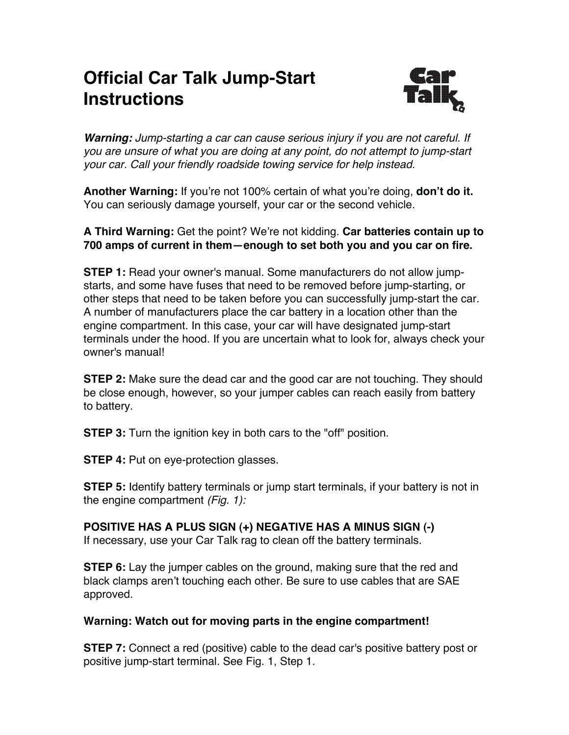## **Official Car Talk Jump-Start Instructions**



*Warning: Jump-starting a car can cause serious injury if you are not careful. If you are unsure of what you are doing at any point, do not attempt to jump-start your car. Call your friendly roadside towing service for help instead.*

**Another Warning:** If you're not 100% certain of what you're doing, **don't do it.** You can seriously damage yourself, your car or the second vehicle.

## **A Third Warning:** Get the point? We're not kidding. **Car batteries contain up to 700 amps of current in them—enough to set both you and you car on fire.**

**STEP 1:** Read your owner's manual. Some manufacturers do not allow jumpstarts, and some have fuses that need to be removed before jump-starting, or other steps that need to be taken before you can successfully jump-start the car. A number of manufacturers place the car battery in a location other than the engine compartment. In this case, your car will have designated jump-start terminals under the hood. If you are uncertain what to look for, always check your owner's manual!

**STEP 2:** Make sure the dead car and the good car are not touching. They should be close enough, however, so your jumper cables can reach easily from battery to battery.

**STEP 3:** Turn the ignition key in both cars to the "off" position.

**STEP 4: Put on eye-protection glasses.** 

**STEP 5:** Identify battery terminals or jump start terminals, if your battery is not in the engine compartment *(Fig. 1):*

## **POSITIVE HAS A PLUS SIGN (+) NEGATIVE HAS A MINUS SIGN (-)**

If necessary, use your Car Talk rag to clean off the battery terminals.

**STEP 6:** Lay the jumper cables on the ground, making sure that the red and black clamps aren't touching each other. Be sure to use cables that are SAE approved.

## **Warning: Watch out for moving parts in the engine compartment!**

**STEP 7:** Connect a red (positive) cable to the dead car's positive battery post or positive jump-start terminal. See Fig. 1, Step 1.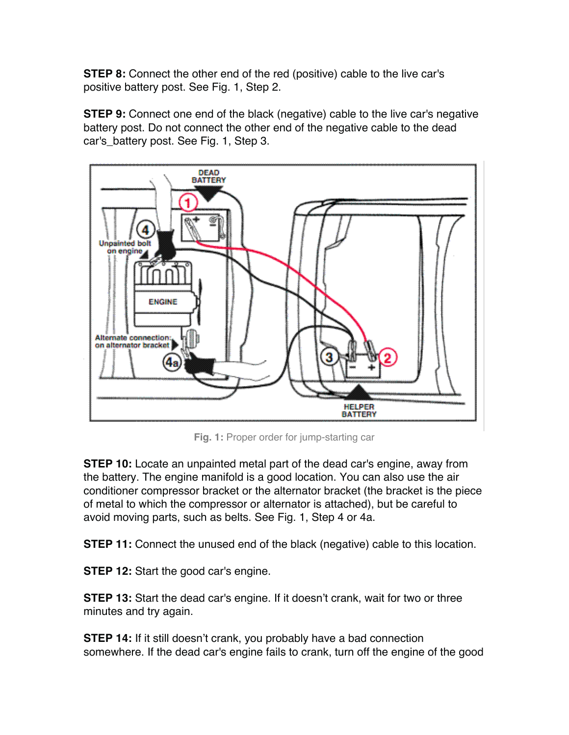**STEP 8:** Connect the other end of the red (positive) cable to the live car's positive battery post. See Fig. 1, Step 2.

**STEP 9:** Connect one end of the black (negative) cable to the live car's negative battery post. Do not connect the other end of the negative cable to the dead car's\_battery post. See Fig. 1, Step 3.



**Fig. 1:** Proper order for jump-starting car

**STEP 10:** Locate an unpainted metal part of the dead car's engine, away from the battery. The engine manifold is a good location. You can also use the air conditioner compressor bracket or the alternator bracket (the bracket is the piece of metal to which the compressor or alternator is attached), but be careful to avoid moving parts, such as belts. See Fig. 1, Step 4 or 4a.

**STEP 11:** Connect the unused end of the black (negative) cable to this location.

**STEP 12:** Start the good car's engine.

**STEP 13:** Start the dead car's engine. If it doesn't crank, wait for two or three minutes and try again.

**STEP 14:** If it still doesn't crank, you probably have a bad connection somewhere. If the dead car's engine fails to crank, turn off the engine of the good